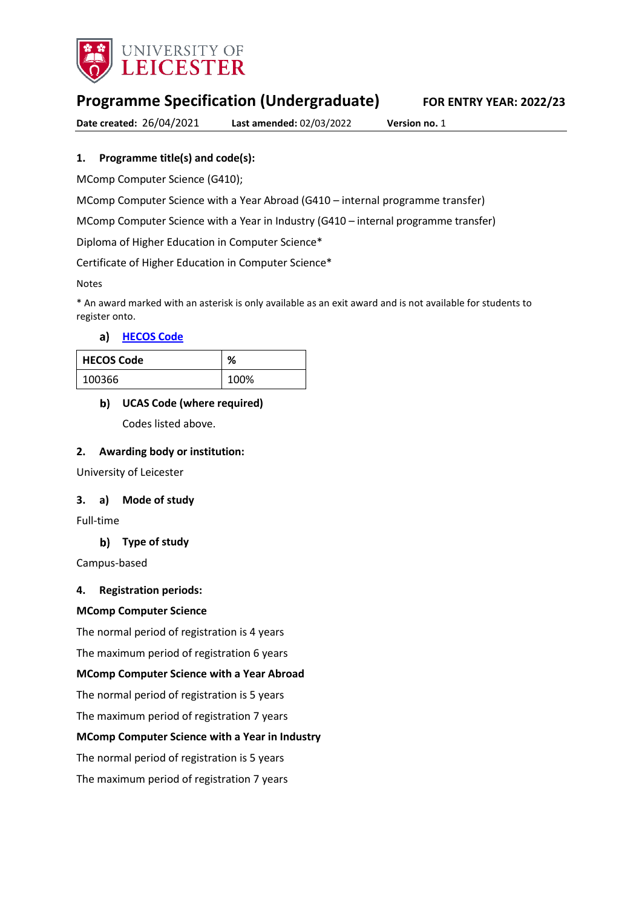

# **Programme Specification (Undergraduate) FOR ENTRY YEAR: 2022/23**

**Date created:** 26/04/2021 **Last amended:** 02/03/2022 **Version no.** 1

## **1. Programme title(s) and code(s):**

MComp Computer Science (G410);

MComp Computer Science with a Year Abroad (G410 – internal programme transfer)

MComp Computer Science with a Year in Industry (G410 – internal programme transfer)

Diploma of Higher Education in Computer Science\*

Certificate of Higher Education in Computer Science\*

Notes

\* An award marked with an asterisk is only available as an exit award and is not available for students to register onto.

### **[HECOS Code](https://www.hesa.ac.uk/innovation/hecos)**

| <b>HECOS Code</b> | ٥,   |
|-------------------|------|
| 100366            | 100% |

### **UCAS Code (where required)**

Codes listed above.

### **2. Awarding body or institution:**

University of Leicester

### **3. a) Mode of study**

Full-time

### **Type of study**

Campus-based

### **4. Registration periods:**

### **MComp Computer Science**

The normal period of registration is 4 years

The maximum period of registration 6 years

### **MComp Computer Science with a Year Abroad**

The normal period of registration is 5 years

The maximum period of registration 7 years

### **MComp Computer Science with a Year in Industry**

The normal period of registration is 5 years

The maximum period of registration 7 years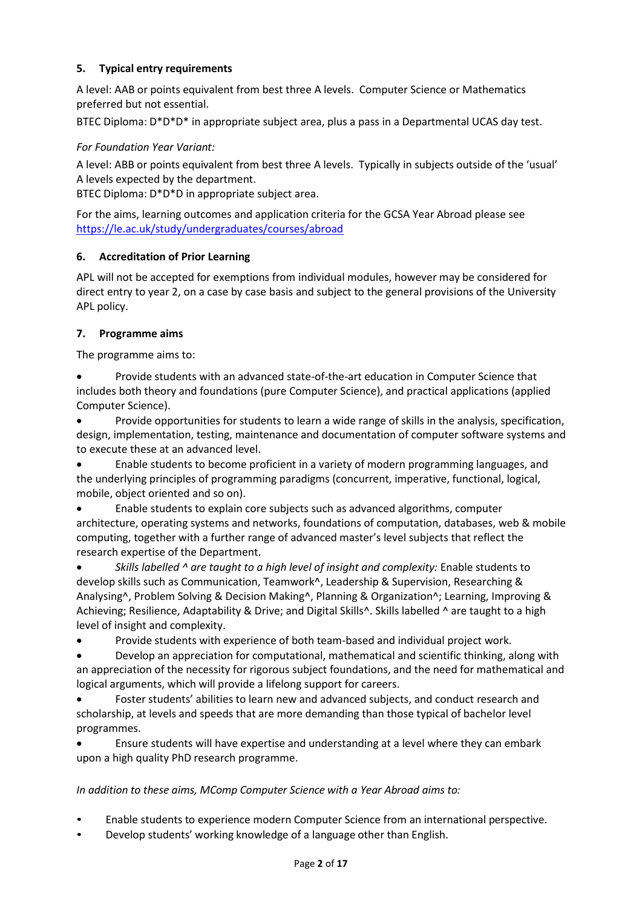## **5. Typical entry requirements**

A level: AAB or points equivalent from best three A levels. Computer Science or Mathematics preferred but not essential.

BTEC Diploma: D\*D\*D\* in appropriate subject area, plus a pass in a Departmental UCAS day test.

### *For Foundation Year Variant:*

A level: ABB or points equivalent from best three A levels. Typically in subjects outside of the 'usual' A levels expected by the department.

BTEC Diploma: D\*D\*D in appropriate subject area.

For the aims, learning outcomes and application criteria for the GCSA Year Abroad please see <https://le.ac.uk/study/undergraduates/courses/abroad>

### **6. Accreditation of Prior Learning**

APL will not be accepted for exemptions from individual modules, however may be considered for direct entry to year 2, on a case by case basis and subject to the general provisions of the University APL policy.

### **7. Programme aims**

The programme aims to:

 Provide students with an advanced state-of-the-art education in Computer Science that includes both theory and foundations (pure Computer Science), and practical applications (applied Computer Science).

 Provide opportunities for students to learn a wide range of skills in the analysis, specification, design, implementation, testing, maintenance and documentation of computer software systems and to execute these at an advanced level.

 Enable students to become proficient in a variety of modern programming languages, and the underlying principles of programming paradigms (concurrent, imperative, functional, logical, mobile, object oriented and so on).

 Enable students to explain core subjects such as advanced algorithms, computer architecture, operating systems and networks, foundations of computation, databases, web & mobile computing, together with a further range of advanced master's level subjects that reflect the research expertise of the Department.

 *Skills labelled ^ are taught to a high level of insight and complexity:* Enable students to develop skills such as Communication, Teamwork^, Leadership & Supervision, Researching & Analysing^, Problem Solving & Decision Making^, Planning & Organization^; Learning, Improving & Achieving; Resilience, Adaptability & Drive; and Digital Skills<sup>^</sup>. Skills labelled <sup>^</sup> are taught to a high level of insight and complexity.

Provide students with experience of both team-based and individual project work.

 Develop an appreciation for computational, mathematical and scientific thinking, along with an appreciation of the necessity for rigorous subject foundations, and the need for mathematical and logical arguments, which will provide a lifelong support for careers.

 Foster students' abilities to learn new and advanced subjects, and conduct research and scholarship, at levels and speeds that are more demanding than those typical of bachelor level programmes.

 Ensure students will have expertise and understanding at a level where they can embark upon a high quality PhD research programme.

### *In addition to these aims, MComp Computer Science with a Year Abroad aims to:*

- Enable students to experience modern Computer Science from an international perspective.
- Develop students' working knowledge of a language other than English.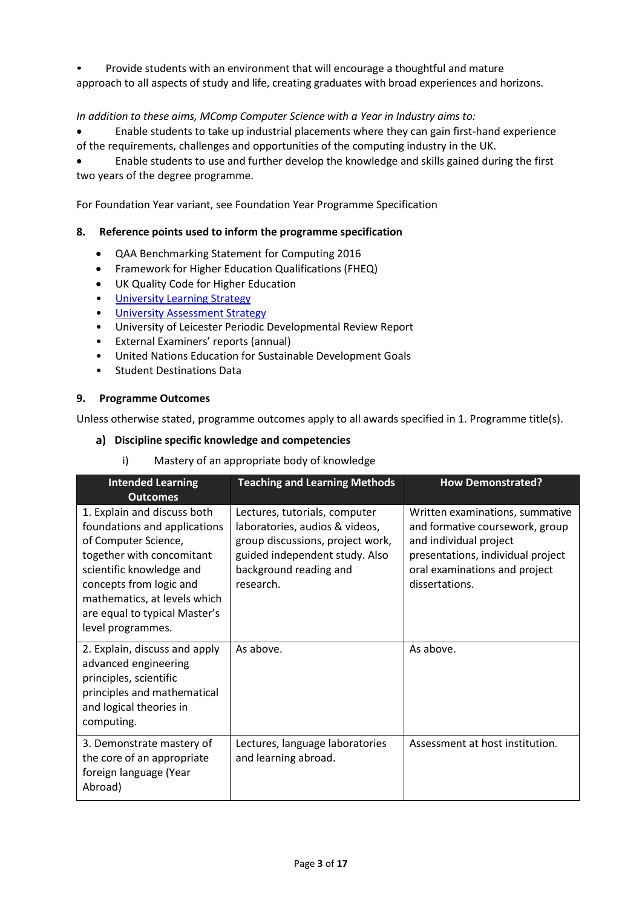• Provide students with an environment that will encourage a thoughtful and mature approach to all aspects of study and life, creating graduates with broad experiences and horizons.

### *In addition to these aims, MComp Computer Science with a Year in Industry aims to:*

 Enable students to take up industrial placements where they can gain first-hand experience of the requirements, challenges and opportunities of the computing industry in the UK.

 Enable students to use and further develop the knowledge and skills gained during the first two years of the degree programme.

For Foundation Year variant, see Foundation Year Programme Specification

### **8. Reference points used to inform the programme specification**

- QAA Benchmarking Statement for Computing 2016
- Framework for Higher Education Qualifications (FHEQ)
- UK Quality Code for Higher Education
- University Learnin[g Strategy](https://www2.le.ac.uk/offices/sas2/quality/learnteach)
- [University Assessment Strategy](https://www2.le.ac.uk/offices/sas2/quality/learnteach)
- University of Leicester Periodic Developmental Review Report
- External Examiners' reports (annual)
- United Nations Education for Sustainable Development Goals
- Student Destinations Data

### **9. Programme Outcomes**

Unless otherwise stated, programme outcomes apply to all awards specified in 1. Programme title(s).

### **Discipline specific knowledge and competencies**

i) Mastery of an appropriate body of knowledge

| <b>Intended Learning</b><br><b>Outcomes</b>                                                                                                                                                                                                                   | <b>Teaching and Learning Methods</b>                                                                                                                                         | <b>How Demonstrated?</b>                                                                                                                                                             |
|---------------------------------------------------------------------------------------------------------------------------------------------------------------------------------------------------------------------------------------------------------------|------------------------------------------------------------------------------------------------------------------------------------------------------------------------------|--------------------------------------------------------------------------------------------------------------------------------------------------------------------------------------|
| 1. Explain and discuss both<br>foundations and applications<br>of Computer Science,<br>together with concomitant<br>scientific knowledge and<br>concepts from logic and<br>mathematics, at levels which<br>are equal to typical Master's<br>level programmes. | Lectures, tutorials, computer<br>laboratories, audios & videos,<br>group discussions, project work,<br>guided independent study. Also<br>background reading and<br>research. | Written examinations, summative<br>and formative coursework, group<br>and individual project<br>presentations, individual project<br>oral examinations and project<br>dissertations. |
| 2. Explain, discuss and apply<br>advanced engineering<br>principles, scientific<br>principles and mathematical<br>and logical theories in<br>computing.                                                                                                       | As above.                                                                                                                                                                    | As above.                                                                                                                                                                            |
| 3. Demonstrate mastery of<br>the core of an appropriate<br>foreign language (Year<br>Abroad)                                                                                                                                                                  | Lectures, language laboratories<br>and learning abroad.                                                                                                                      | Assessment at host institution.                                                                                                                                                      |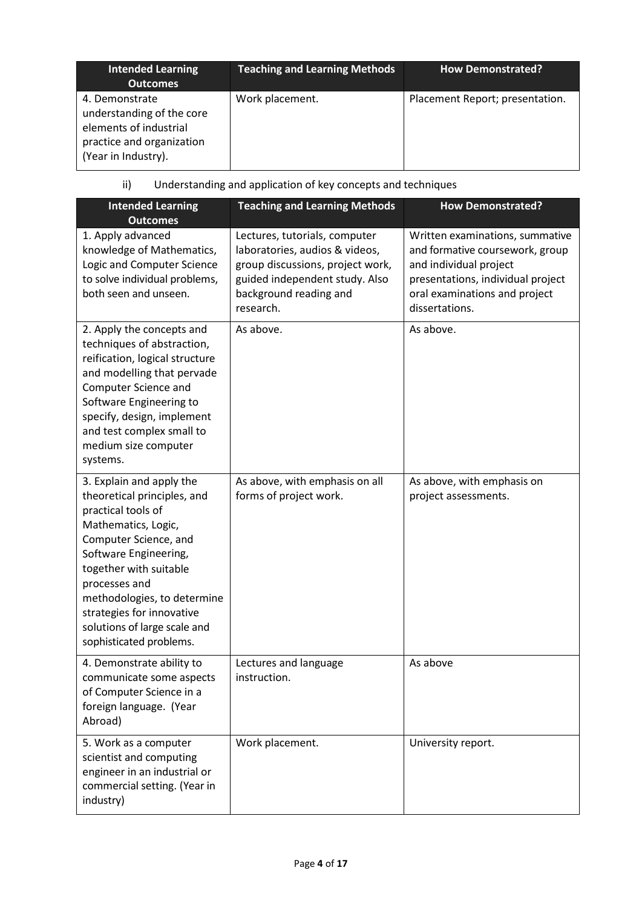| <b>Intended Learning</b><br><b>Outcomes</b>                                                                               | <b>Teaching and Learning Methods</b> | <b>How Demonstrated?</b>        |
|---------------------------------------------------------------------------------------------------------------------------|--------------------------------------|---------------------------------|
| 4. Demonstrate<br>understanding of the core<br>elements of industrial<br>practice and organization<br>(Year in Industry). | Work placement.                      | Placement Report; presentation. |

# ii) Understanding and application of key concepts and techniques

| <b>Intended Learning</b><br><b>Outcomes</b>                                                                                                                                                                                                                                                                              | <b>Teaching and Learning Methods</b>                                                                                                                                         | <b>How Demonstrated?</b>                                                                                                                                                             |
|--------------------------------------------------------------------------------------------------------------------------------------------------------------------------------------------------------------------------------------------------------------------------------------------------------------------------|------------------------------------------------------------------------------------------------------------------------------------------------------------------------------|--------------------------------------------------------------------------------------------------------------------------------------------------------------------------------------|
| 1. Apply advanced<br>knowledge of Mathematics,<br>Logic and Computer Science<br>to solve individual problems,<br>both seen and unseen.                                                                                                                                                                                   | Lectures, tutorials, computer<br>laboratories, audios & videos,<br>group discussions, project work,<br>guided independent study. Also<br>background reading and<br>research. | Written examinations, summative<br>and formative coursework, group<br>and individual project<br>presentations, individual project<br>oral examinations and project<br>dissertations. |
| 2. Apply the concepts and<br>techniques of abstraction,<br>reification, logical structure<br>and modelling that pervade<br>Computer Science and<br>Software Engineering to<br>specify, design, implement<br>and test complex small to<br>medium size computer<br>systems.                                                | As above.                                                                                                                                                                    | As above.                                                                                                                                                                            |
| 3. Explain and apply the<br>theoretical principles, and<br>practical tools of<br>Mathematics, Logic,<br>Computer Science, and<br>Software Engineering,<br>together with suitable<br>processes and<br>methodologies, to determine<br>strategies for innovative<br>solutions of large scale and<br>sophisticated problems. | As above, with emphasis on all<br>forms of project work.                                                                                                                     | As above, with emphasis on<br>project assessments.                                                                                                                                   |
| 4. Demonstrate ability to<br>communicate some aspects<br>of Computer Science in a<br>foreign language. (Year<br>Abroad)                                                                                                                                                                                                  | Lectures and language<br>instruction.                                                                                                                                        | As above                                                                                                                                                                             |
| 5. Work as a computer<br>scientist and computing<br>engineer in an industrial or<br>commercial setting. (Year in<br>industry)                                                                                                                                                                                            | Work placement.                                                                                                                                                              | University report.                                                                                                                                                                   |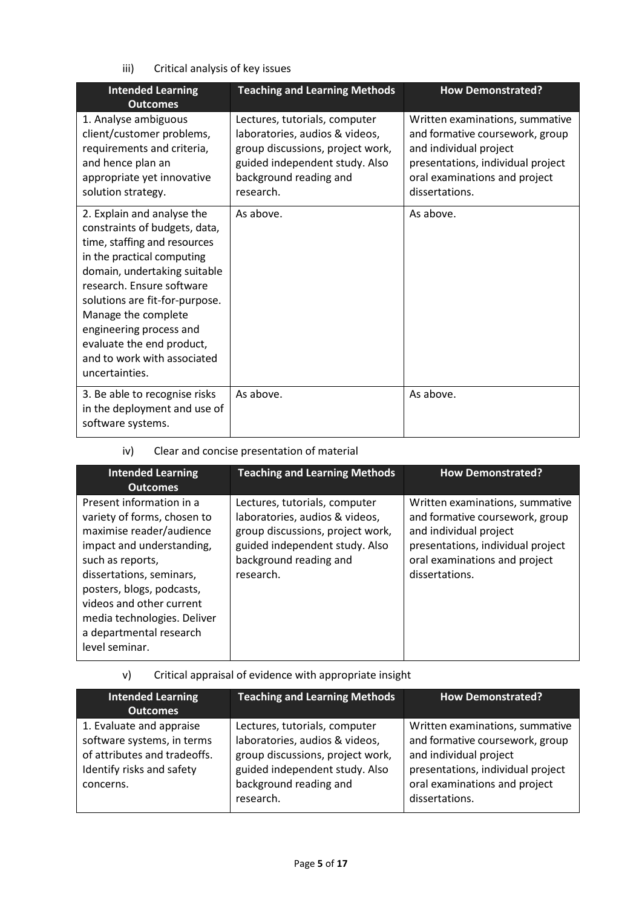iii) Critical analysis of key issues

| <b>Intended Learning</b><br><b>Outcomes</b>                                                                                                                                                                                                                                                                                                              | <b>Teaching and Learning Methods</b>                                                                                                                                         | <b>How Demonstrated?</b>                                                                                                                                                             |
|----------------------------------------------------------------------------------------------------------------------------------------------------------------------------------------------------------------------------------------------------------------------------------------------------------------------------------------------------------|------------------------------------------------------------------------------------------------------------------------------------------------------------------------------|--------------------------------------------------------------------------------------------------------------------------------------------------------------------------------------|
| 1. Analyse ambiguous<br>client/customer problems,<br>requirements and criteria,<br>and hence plan an<br>appropriate yet innovative<br>solution strategy.                                                                                                                                                                                                 | Lectures, tutorials, computer<br>laboratories, audios & videos,<br>group discussions, project work,<br>guided independent study. Also<br>background reading and<br>research. | Written examinations, summative<br>and formative coursework, group<br>and individual project<br>presentations, individual project<br>oral examinations and project<br>dissertations. |
| 2. Explain and analyse the<br>constraints of budgets, data,<br>time, staffing and resources<br>in the practical computing<br>domain, undertaking suitable<br>research. Ensure software<br>solutions are fit-for-purpose.<br>Manage the complete<br>engineering process and<br>evaluate the end product,<br>and to work with associated<br>uncertainties. | As above.                                                                                                                                                                    | As above.                                                                                                                                                                            |
| 3. Be able to recognise risks<br>in the deployment and use of<br>software systems.                                                                                                                                                                                                                                                                       | As above.                                                                                                                                                                    | As above.                                                                                                                                                                            |

iv) Clear and concise presentation of material

| <b>Intended Learning</b><br><b>Outcomes</b>                                                                                                                                                                                                                                                           | <b>Teaching and Learning Methods</b>                                                                                                                                         | <b>How Demonstrated?</b>                                                                                                                                                             |
|-------------------------------------------------------------------------------------------------------------------------------------------------------------------------------------------------------------------------------------------------------------------------------------------------------|------------------------------------------------------------------------------------------------------------------------------------------------------------------------------|--------------------------------------------------------------------------------------------------------------------------------------------------------------------------------------|
| Present information in a<br>variety of forms, chosen to<br>maximise reader/audience<br>impact and understanding,<br>such as reports,<br>dissertations, seminars,<br>posters, blogs, podcasts,<br>videos and other current<br>media technologies. Deliver<br>a departmental research<br>level seminar. | Lectures, tutorials, computer<br>laboratories, audios & videos,<br>group discussions, project work,<br>guided independent study. Also<br>background reading and<br>research. | Written examinations, summative<br>and formative coursework, group<br>and individual project<br>presentations, individual project<br>oral examinations and project<br>dissertations. |

v) Critical appraisal of evidence with appropriate insight

| <b>Intended Learning</b><br>Outcomes                                                                                             | <b>Teaching and Learning Methods</b>                                                                                                                                         | <b>How Demonstrated?</b>                                                                                                                                                             |
|----------------------------------------------------------------------------------------------------------------------------------|------------------------------------------------------------------------------------------------------------------------------------------------------------------------------|--------------------------------------------------------------------------------------------------------------------------------------------------------------------------------------|
| 1. Evaluate and appraise<br>software systems, in terms<br>of attributes and tradeoffs.<br>Identify risks and safety<br>concerns. | Lectures, tutorials, computer<br>laboratories, audios & videos,<br>group discussions, project work,<br>guided independent study. Also<br>background reading and<br>research. | Written examinations, summative<br>and formative coursework, group<br>and individual project<br>presentations, individual project<br>oral examinations and project<br>dissertations. |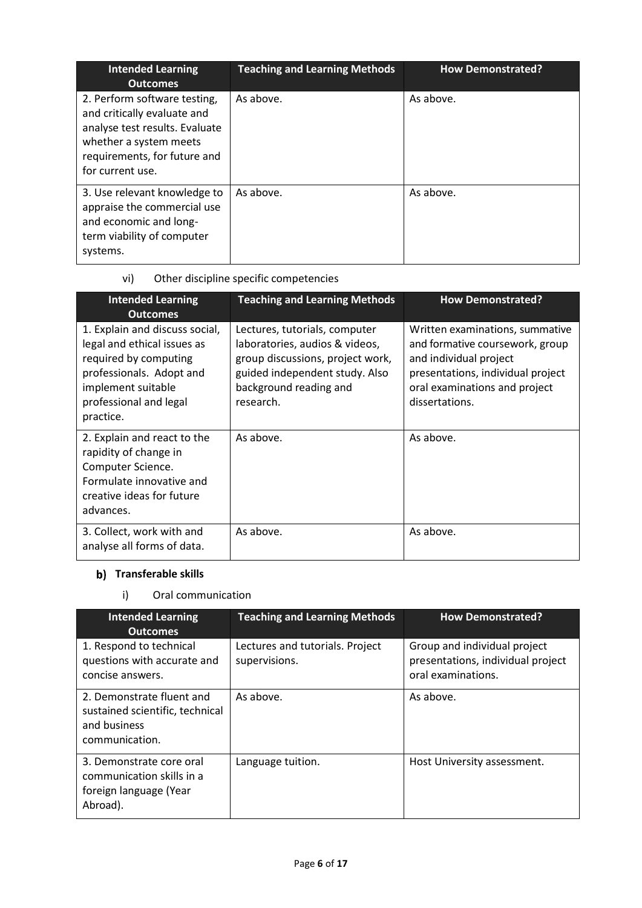| <b>Intended Learning</b><br><b>Outcomes</b>                                                                                                                                 | <b>Teaching and Learning Methods</b> | <b>How Demonstrated?</b> |
|-----------------------------------------------------------------------------------------------------------------------------------------------------------------------------|--------------------------------------|--------------------------|
| 2. Perform software testing,<br>and critically evaluate and<br>analyse test results. Evaluate<br>whether a system meets<br>requirements, for future and<br>for current use. | As above.                            | As above.                |
| 3. Use relevant knowledge to<br>appraise the commercial use<br>and economic and long-<br>term viability of computer<br>systems.                                             | As above.                            | As above.                |

# vi) Other discipline specific competencies

| <b>Intended Learning</b><br><b>Outcomes</b>                                                                                                                                     | <b>Teaching and Learning Methods</b>                                                                                                                                         | <b>How Demonstrated?</b>                                                                                                                                                             |
|---------------------------------------------------------------------------------------------------------------------------------------------------------------------------------|------------------------------------------------------------------------------------------------------------------------------------------------------------------------------|--------------------------------------------------------------------------------------------------------------------------------------------------------------------------------------|
| 1. Explain and discuss social,<br>legal and ethical issues as<br>required by computing<br>professionals. Adopt and<br>implement suitable<br>professional and legal<br>practice. | Lectures, tutorials, computer<br>laboratories, audios & videos,<br>group discussions, project work,<br>guided independent study. Also<br>background reading and<br>research. | Written examinations, summative<br>and formative coursework, group<br>and individual project<br>presentations, individual project<br>oral examinations and project<br>dissertations. |
| 2. Explain and react to the<br>rapidity of change in<br>Computer Science.<br>Formulate innovative and<br>creative ideas for future<br>advances.                                 | As above.                                                                                                                                                                    | As above.                                                                                                                                                                            |
| 3. Collect, work with and<br>analyse all forms of data.                                                                                                                         | As above.                                                                                                                                                                    | As above.                                                                                                                                                                            |

# **Transferable skills**

# i) Oral communication

| <b>Intended Learning</b><br><b>Outcomes</b>                                                    | <b>Teaching and Learning Methods</b>             | <b>How Demonstrated?</b>                                                                |
|------------------------------------------------------------------------------------------------|--------------------------------------------------|-----------------------------------------------------------------------------------------|
| 1. Respond to technical<br>questions with accurate and<br>concise answers.                     | Lectures and tutorials. Project<br>supervisions. | Group and individual project<br>presentations, individual project<br>oral examinations. |
| 2. Demonstrate fluent and<br>sustained scientific, technical<br>and business<br>communication. | As above.                                        | As above.                                                                               |
| 3. Demonstrate core oral<br>communication skills in a<br>foreign language (Year<br>Abroad).    | Language tuition.                                | Host University assessment.                                                             |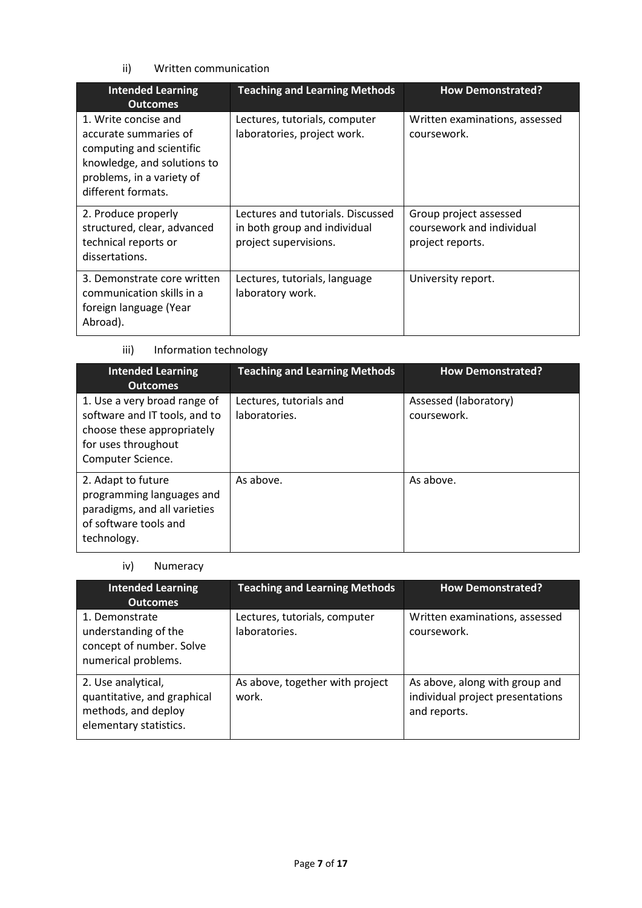## ii) Written communication

| <b>Intended Learning</b><br><b>Outcomes</b>                                                                                                                 | <b>Teaching and Learning Methods</b>                                                       | <b>How Demonstrated?</b>                                                |
|-------------------------------------------------------------------------------------------------------------------------------------------------------------|--------------------------------------------------------------------------------------------|-------------------------------------------------------------------------|
| 1. Write concise and<br>accurate summaries of<br>computing and scientific<br>knowledge, and solutions to<br>problems, in a variety of<br>different formats. | Lectures, tutorials, computer<br>laboratories, project work.                               | Written examinations, assessed<br>coursework.                           |
| 2. Produce properly<br>structured, clear, advanced<br>technical reports or<br>dissertations.                                                                | Lectures and tutorials. Discussed<br>in both group and individual<br>project supervisions. | Group project assessed<br>coursework and individual<br>project reports. |
| 3. Demonstrate core written<br>communication skills in a<br>foreign language (Year<br>Abroad).                                                              | Lectures, tutorials, language<br>laboratory work.                                          | University report.                                                      |

# iii) Information technology

| <b>Intended Learning</b><br><b>Outcomes</b>                                                                                             | <b>Teaching and Learning Methods</b>     | <b>How Demonstrated?</b>             |
|-----------------------------------------------------------------------------------------------------------------------------------------|------------------------------------------|--------------------------------------|
| 1. Use a very broad range of<br>software and IT tools, and to<br>choose these appropriately<br>for uses throughout<br>Computer Science. | Lectures, tutorials and<br>laboratories. | Assessed (laboratory)<br>coursework. |
| 2. Adapt to future<br>programming languages and<br>paradigms, and all varieties<br>of software tools and<br>technology.                 | As above.                                | As above.                            |

### iv) Numeracy

| <b>Intended Learning</b><br><b>Outcomes</b>                                                        | <b>Teaching and Learning Methods</b>           | <b>How Demonstrated?</b>                                                           |
|----------------------------------------------------------------------------------------------------|------------------------------------------------|------------------------------------------------------------------------------------|
| 1. Demonstrate<br>understanding of the<br>concept of number. Solve<br>numerical problems.          | Lectures, tutorials, computer<br>laboratories. | Written examinations, assessed<br>coursework.                                      |
| 2. Use analytical,<br>quantitative, and graphical<br>methods, and deploy<br>elementary statistics. | As above, together with project<br>work.       | As above, along with group and<br>individual project presentations<br>and reports. |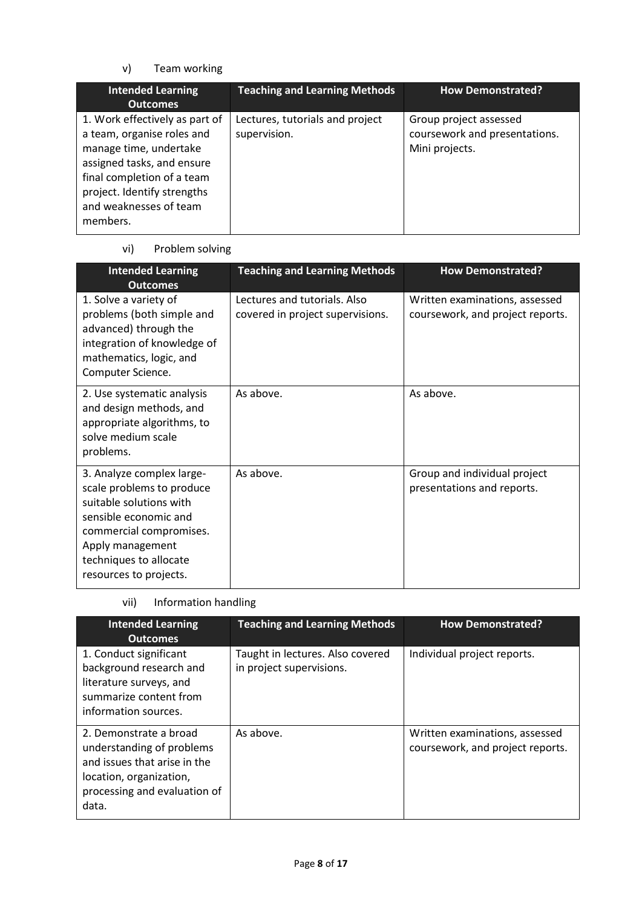v) Team working

| <b>Intended Learning</b><br><b>Outcomes</b>                                                                                                                                                                             | <b>Teaching and Learning Methods</b>            | <b>How Demonstrated?</b>                                                  |
|-------------------------------------------------------------------------------------------------------------------------------------------------------------------------------------------------------------------------|-------------------------------------------------|---------------------------------------------------------------------------|
| 1. Work effectively as part of<br>a team, organise roles and<br>manage time, undertake<br>assigned tasks, and ensure<br>final completion of a team<br>project. Identify strengths<br>and weaknesses of team<br>members. | Lectures, tutorials and project<br>supervision. | Group project assessed<br>coursework and presentations.<br>Mini projects. |

# vi) Problem solving

| <b>Intended Learning</b><br><b>Outcomes</b>                                                                                                                                                                   | <b>Teaching and Learning Methods</b>                             | <b>How Demonstrated?</b>                                           |
|---------------------------------------------------------------------------------------------------------------------------------------------------------------------------------------------------------------|------------------------------------------------------------------|--------------------------------------------------------------------|
| 1. Solve a variety of<br>problems (both simple and<br>advanced) through the<br>integration of knowledge of<br>mathematics, logic, and<br>Computer Science.                                                    | Lectures and tutorials. Also<br>covered in project supervisions. | Written examinations, assessed<br>coursework, and project reports. |
| 2. Use systematic analysis<br>and design methods, and<br>appropriate algorithms, to<br>solve medium scale<br>problems.                                                                                        | As above.                                                        | As above.                                                          |
| 3. Analyze complex large-<br>scale problems to produce<br>suitable solutions with<br>sensible economic and<br>commercial compromises.<br>Apply management<br>techniques to allocate<br>resources to projects. | As above.                                                        | Group and individual project<br>presentations and reports.         |

vii) Information handling

| <b>Intended Learning</b><br><b>Outcomes</b>                                                                                                             | <b>Teaching and Learning Methods</b>                         | <b>How Demonstrated?</b>                                           |
|---------------------------------------------------------------------------------------------------------------------------------------------------------|--------------------------------------------------------------|--------------------------------------------------------------------|
| 1. Conduct significant<br>background research and<br>literature surveys, and<br>summarize content from<br>information sources.                          | Taught in lectures. Also covered<br>in project supervisions. | Individual project reports.                                        |
| 2. Demonstrate a broad<br>understanding of problems<br>and issues that arise in the<br>location, organization,<br>processing and evaluation of<br>data. | As above.                                                    | Written examinations, assessed<br>coursework, and project reports. |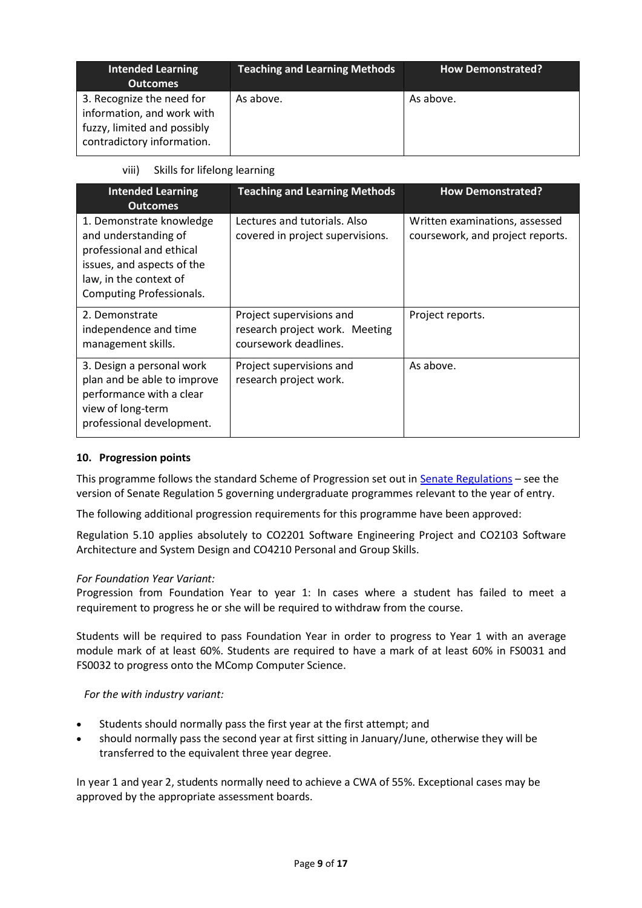| <b>Intended Learning</b><br><b>Outcomes</b>                                                                          | <b>Teaching and Learning Methods</b> | <b>How Demonstrated?</b> |
|----------------------------------------------------------------------------------------------------------------------|--------------------------------------|--------------------------|
| 3. Recognize the need for<br>information, and work with<br>fuzzy, limited and possibly<br>contradictory information. | As above.                            | As above.                |

viii) Skills for lifelong learning

| <b>Intended Learning</b><br><b>Outcomes</b>                                                                                                                             | <b>Teaching and Learning Methods</b>                                                | <b>How Demonstrated?</b>                                           |
|-------------------------------------------------------------------------------------------------------------------------------------------------------------------------|-------------------------------------------------------------------------------------|--------------------------------------------------------------------|
| 1. Demonstrate knowledge<br>and understanding of<br>professional and ethical<br>issues, and aspects of the<br>law, in the context of<br><b>Computing Professionals.</b> | Lectures and tutorials. Also<br>covered in project supervisions.                    | Written examinations, assessed<br>coursework, and project reports. |
| 2. Demonstrate<br>independence and time<br>management skills.                                                                                                           | Project supervisions and<br>research project work. Meeting<br>coursework deadlines. | Project reports.                                                   |
| 3. Design a personal work<br>plan and be able to improve<br>performance with a clear<br>view of long-term<br>professional development.                                  | Project supervisions and<br>research project work.                                  | As above.                                                          |

### **10. Progression points**

This programme follows the standard Scheme of Progression set out i[n Senate Regulations](http://www.le.ac.uk/senate-regulations) – see the version of Senate Regulation 5 governing undergraduate programmes relevant to the year of entry.

The following additional progression requirements for this programme have been approved:

Regulation 5.10 applies absolutely to CO2201 Software Engineering Project and CO2103 Software Architecture and System Design and CO4210 Personal and Group Skills.

### *For Foundation Year Variant:*

Progression from Foundation Year to year 1: In cases where a student has failed to meet a requirement to progress he or she will be required to withdraw from the course.

Students will be required to pass Foundation Year in order to progress to Year 1 with an average module mark of at least 60%. Students are required to have a mark of at least 60% in FS0031 and FS0032 to progress onto the MComp Computer Science.

*For the with industry variant:*

- Students should normally pass the first year at the first attempt; and
- should normally pass the second year at first sitting in January/June, otherwise they will be transferred to the equivalent three year degree.

In year 1 and year 2, students normally need to achieve a CWA of 55%. Exceptional cases may be approved by the appropriate assessment boards.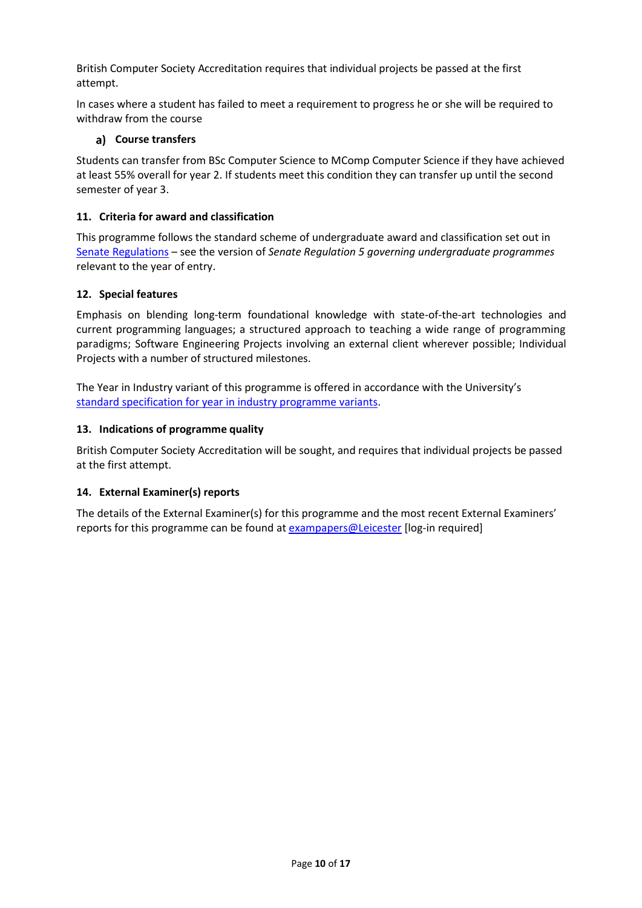British Computer Society Accreditation requires that individual projects be passed at the first attempt.

In cases where a student has failed to meet a requirement to progress he or she will be required to withdraw from the course

### **Course transfers**

Students can transfer from BSc Computer Science to MComp Computer Science if they have achieved at least 55% overall for year 2. If students meet this condition they can transfer up until the second semester of year 3.

### **11. Criteria for award and classification**

This programme follows the standard scheme of undergraduate award and classification set out in [Senate Regulations](http://www.le.ac.uk/senate-regulations) – see the version of *Senate Regulation 5 governing undergraduate programmes* relevant to the year of entry.

### **12. Special features**

Emphasis on blending long-term foundational knowledge with state-of-the-art technologies and current programming languages; a structured approach to teaching a wide range of programming paradigms; Software Engineering Projects involving an external client wherever possible; Individual Projects with a number of structured milestones.

The Year in Industry variant of this programme is offered in accordance with the University's [standard specification for year in industry programme variants.](https://www2.le.ac.uk/offices/sas2/courses/documentation/undergraduate-programme-specification-content-for-year-in-industry-programme-variants)

### **13. Indications of programme quality**

British Computer Society Accreditation will be sought, and requires that individual projects be passed at the first attempt.

### **14. External Examiner(s) reports**

The details of the External Examiner(s) for this programme and the most recent External Examiners' reports for this programme can be found at [exampapers@Leicester](https://exampapers.le.ac.uk/) [log-in required]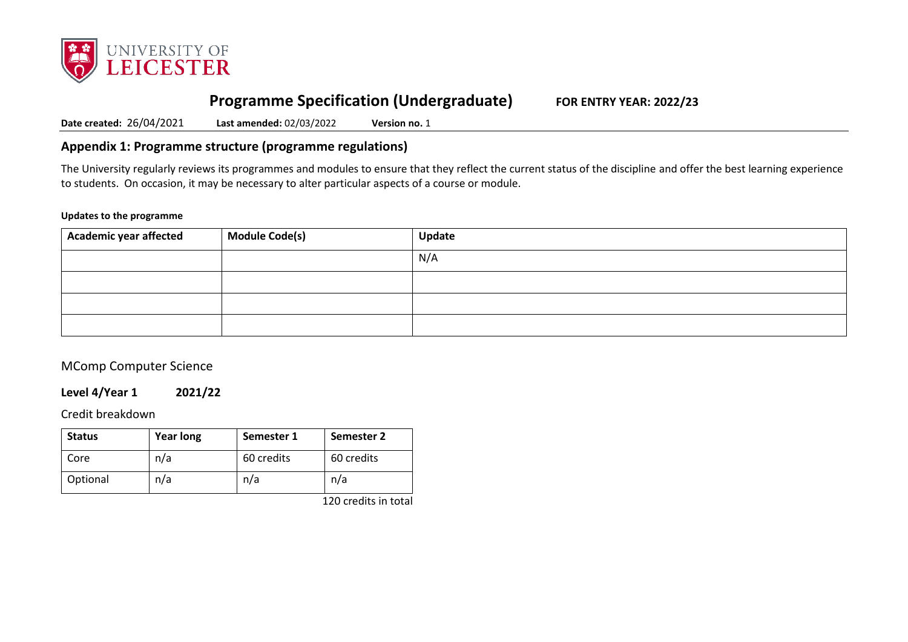

# **Programme Specification (Undergraduate) FOR ENTRY YEAR: 2022/23**

**Date created:** 26/04/2021 **Last amended:** 02/03/2022 **Version no.** 1

# **Appendix 1: Programme structure (programme regulations)**

The University regularly reviews its programmes and modules to ensure that they reflect the current status of the discipline and offer the best learning experience to students. On occasion, it may be necessary to alter particular aspects of a course or module.

### **Updates to the programme**

| Academic year affected | <b>Module Code(s)</b> | Update |
|------------------------|-----------------------|--------|
|                        |                       | N/A    |
|                        |                       |        |
|                        |                       |        |
|                        |                       |        |

# MComp Computer Science

### **Level 4/Year 1 2021/22**

Credit breakdown

| <b>Status</b> | <b>Year long</b> | Semester 1 | Semester 2 |
|---------------|------------------|------------|------------|
| Core          | n/a              | 60 credits | 60 credits |
| Optional      | n/a              | n/a        | n/a        |

120 credits in total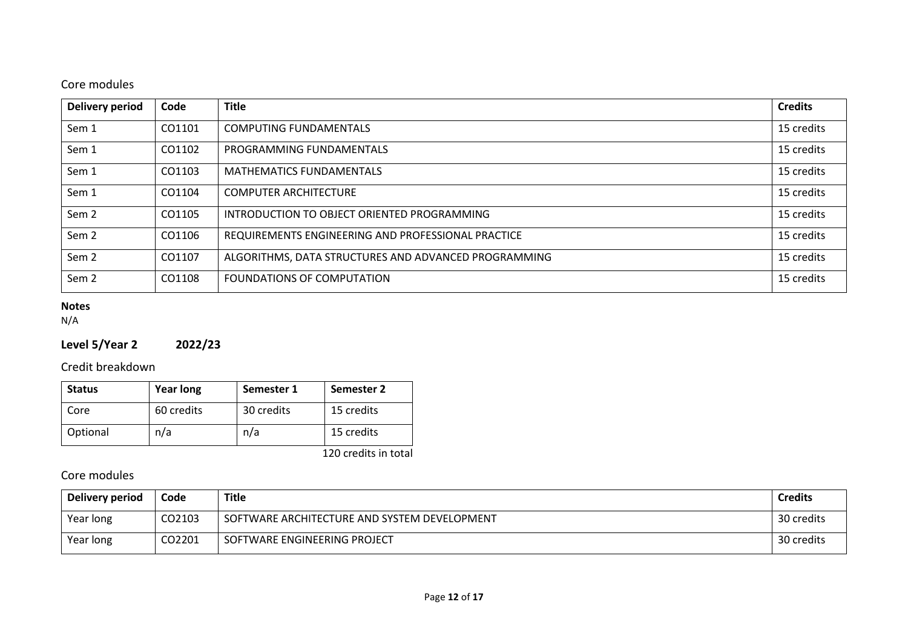# Core modules

| <b>Delivery period</b> | Code   | <b>Title</b>                                         | <b>Credits</b> |
|------------------------|--------|------------------------------------------------------|----------------|
| Sem 1                  | CO1101 | <b>COMPUTING FUNDAMENTALS</b>                        | 15 credits     |
| Sem 1                  | CO1102 | PROGRAMMING FUNDAMENTALS                             | 15 credits     |
| Sem 1                  | CO1103 | <b>MATHEMATICS FUNDAMENTALS</b>                      | 15 credits     |
| Sem 1                  | CO1104 | <b>COMPUTER ARCHITECTURE</b>                         | 15 credits     |
| Sem <sub>2</sub>       | CO1105 | INTRODUCTION TO OBJECT ORIENTED PROGRAMMING          | 15 credits     |
| Sem <sub>2</sub>       | CO1106 | REQUIREMENTS ENGINEERING AND PROFESSIONAL PRACTICE   | 15 credits     |
| Sem <sub>2</sub>       | CO1107 | ALGORITHMS, DATA STRUCTURES AND ADVANCED PROGRAMMING | 15 credits     |
| Sem <sub>2</sub>       | CO1108 | FOUNDATIONS OF COMPUTATION                           | 15 credits     |

# **Notes**

N/A

# **Level 5/Year 2 2022/23**

Credit breakdown

| <b>Status</b> | <b>Year long</b> | Semester 1 | Semester 2 |
|---------------|------------------|------------|------------|
| Core          | 60 credits       | 30 credits | 15 credits |
| Optional      | n/a              | n/a        | 15 credits |

120 credits in total

Core modules

| Delivery period | Code   | <b>Title</b>                                 | <b>Credits</b> |
|-----------------|--------|----------------------------------------------|----------------|
| Year long       | CO2103 | SOFTWARE ARCHITECTURE AND SYSTEM DEVELOPMENT | 30 credits     |
| Year long       | CO2201 | SOFTWARE ENGINEERING PROJECT                 | 30 credits     |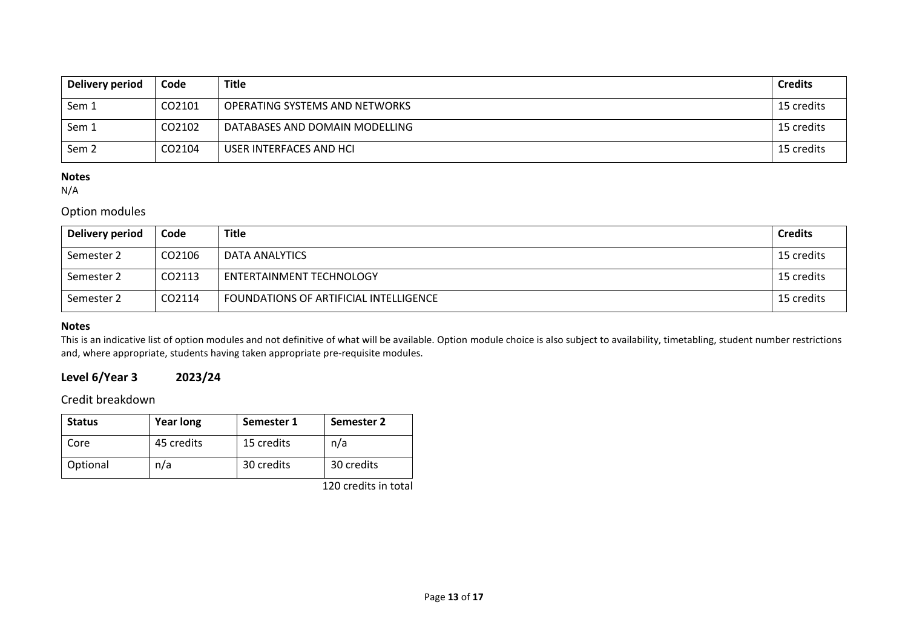| Delivery period  | Code   | <b>Title</b>                   | <b>Credits</b> |
|------------------|--------|--------------------------------|----------------|
| Sem 1            | CO2101 | OPERATING SYSTEMS AND NETWORKS | 15 credits     |
| Sem 1            | CO2102 | DATABASES AND DOMAIN MODELLING | 15 credits     |
| Sem <sub>2</sub> | CO2104 | USER INTERFACES AND HCI        | 15 credits     |

## **Notes**

N/A

# Option modules

| Delivery period | Code   | <b>Title</b>                           | <b>Credits</b> |
|-----------------|--------|----------------------------------------|----------------|
| Semester 2      | CO2106 | DATA ANALYTICS                         | 15 credits     |
| Semester 2      | CO2113 | ENTERTAINMENT TECHNOLOGY               | 15 credits     |
| Semester 2      | CO2114 | FOUNDATIONS OF ARTIFICIAL INTELLIGENCE | 15 credits     |

### **Notes**

This is an indicative list of option modules and not definitive of what will be available. Option module choice is also subject to availability, timetabling, student number restrictions and, where appropriate, students having taken appropriate pre-requisite modules.

# **Level 6/Year 3 2023/24**

Credit breakdown

| <b>Status</b> | <b>Year long</b> | Semester 1 | Semester 2 |
|---------------|------------------|------------|------------|
| Core          | 45 credits       | 15 credits | n/a        |
| Optional      | n/a              | 30 credits | 30 credits |

120 credits in total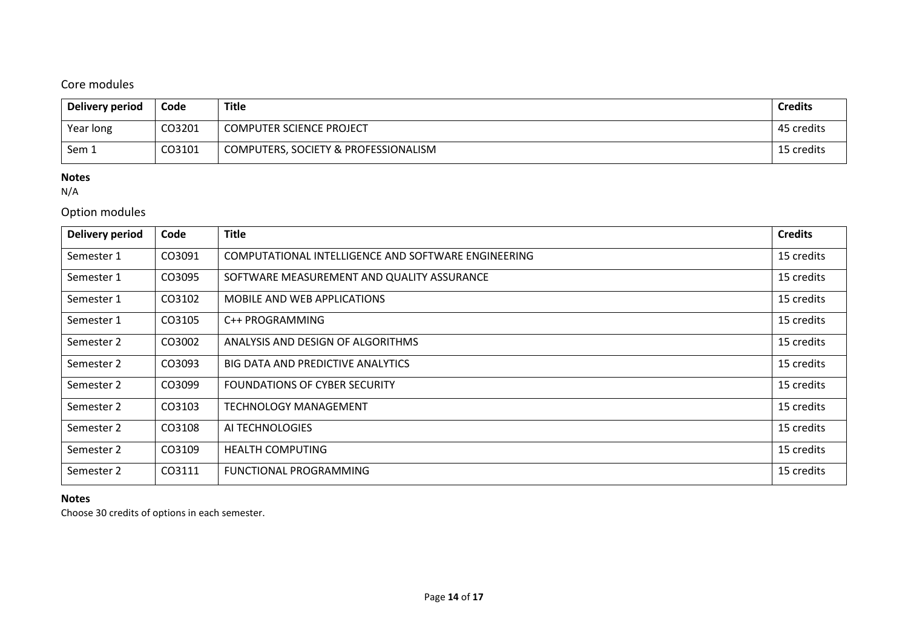# Core modules

| Delivery period | Code   | Title                                | <b>Credits</b> |
|-----------------|--------|--------------------------------------|----------------|
| Year long       | CO3201 | <b>COMPUTER SCIENCE PROJECT</b>      | 45 credits     |
| Sem 1           | CO3101 | COMPUTERS, SOCIETY & PROFESSIONALISM | 15 credits     |

# **Notes**

N/A

# Option modules

| Delivery period | Code   | <b>Title</b>                                        | <b>Credits</b> |
|-----------------|--------|-----------------------------------------------------|----------------|
| Semester 1      | CO3091 | COMPUTATIONAL INTELLIGENCE AND SOFTWARE ENGINEERING | 15 credits     |
| Semester 1      | CO3095 | SOFTWARE MEASUREMENT AND QUALITY ASSURANCE          | 15 credits     |
| Semester 1      | CO3102 | <b>MOBILE AND WEB APPLICATIONS</b>                  | 15 credits     |
| Semester 1      | CO3105 | C++ PROGRAMMING                                     | 15 credits     |
| Semester 2      | CO3002 | ANALYSIS AND DESIGN OF ALGORITHMS                   | 15 credits     |
| Semester 2      | CO3093 | <b>BIG DATA AND PREDICTIVE ANALYTICS</b>            | 15 credits     |
| Semester 2      | CO3099 | <b>FOUNDATIONS OF CYBER SECURITY</b>                | 15 credits     |
| Semester 2      | CO3103 | TECHNOLOGY MANAGEMENT                               | 15 credits     |
| Semester 2      | CO3108 | AI TECHNOLOGIES                                     | 15 credits     |
| Semester 2      | CO3109 | <b>HEALTH COMPUTING</b>                             | 15 credits     |
| Semester 2      | CO3111 | FUNCTIONAL PROGRAMMING                              | 15 credits     |

## **Notes**

Choose 30 credits of options in each semester.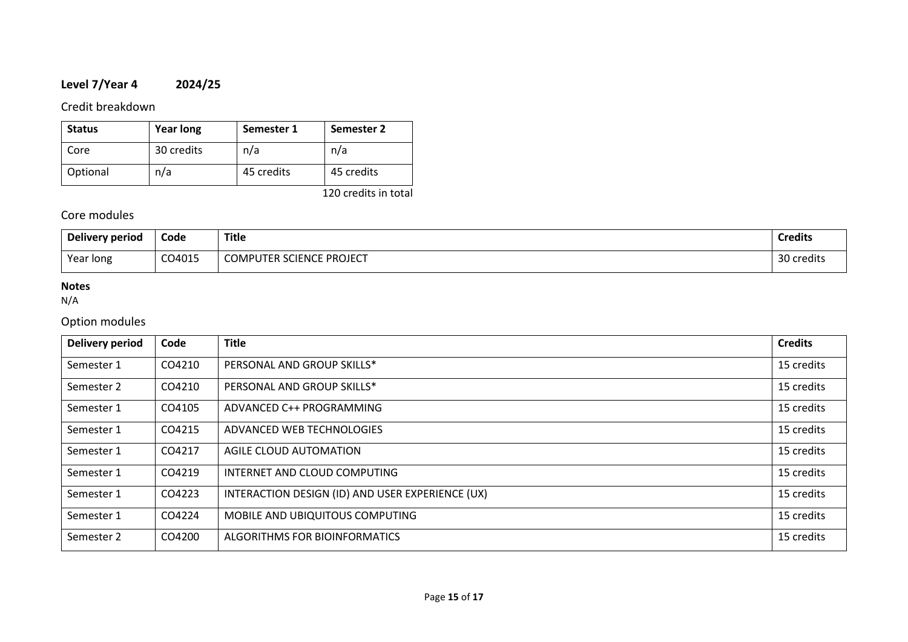# **Level 7/Year 4 2024/25**

## Credit breakdown

| <b>Status</b> | <b>Year long</b> | Semester 1 | Semester 2 |
|---------------|------------------|------------|------------|
| Core          | 30 credits       | n/a        | n/a        |
| Optional      | n/a              | 45 credits | 45 credits |

120 credits in total

# Core modules

| Delivery period | Code   | <b>Title</b>                    | <b>Credits</b> |
|-----------------|--------|---------------------------------|----------------|
| Year long       | CO4015 | <b>COMPUTER SCIENCE PROJECT</b> | 30 credits     |

## **Notes**

N/A

# Option modules

| <b>Delivery period</b> | Code   | <b>Title</b>                                     | <b>Credits</b> |
|------------------------|--------|--------------------------------------------------|----------------|
| Semester 1             | CO4210 | PERSONAL AND GROUP SKILLS*                       | 15 credits     |
| Semester 2             | CO4210 | PERSONAL AND GROUP SKILLS*                       | 15 credits     |
| Semester 1             | CO4105 | ADVANCED C++ PROGRAMMING                         | 15 credits     |
| Semester 1             | CO4215 | ADVANCED WEB TECHNOLOGIES                        | 15 credits     |
| Semester 1             | CO4217 | AGILE CLOUD AUTOMATION                           | 15 credits     |
| Semester 1             | CO4219 | INTERNET AND CLOUD COMPUTING                     | 15 credits     |
| Semester 1             | CO4223 | INTERACTION DESIGN (ID) AND USER EXPERIENCE (UX) | 15 credits     |
| Semester 1             | CO4224 | MOBILE AND UBIQUITOUS COMPUTING                  | 15 credits     |
| Semester 2             | CO4200 | ALGORITHMS FOR BIOINFORMATICS                    | 15 credits     |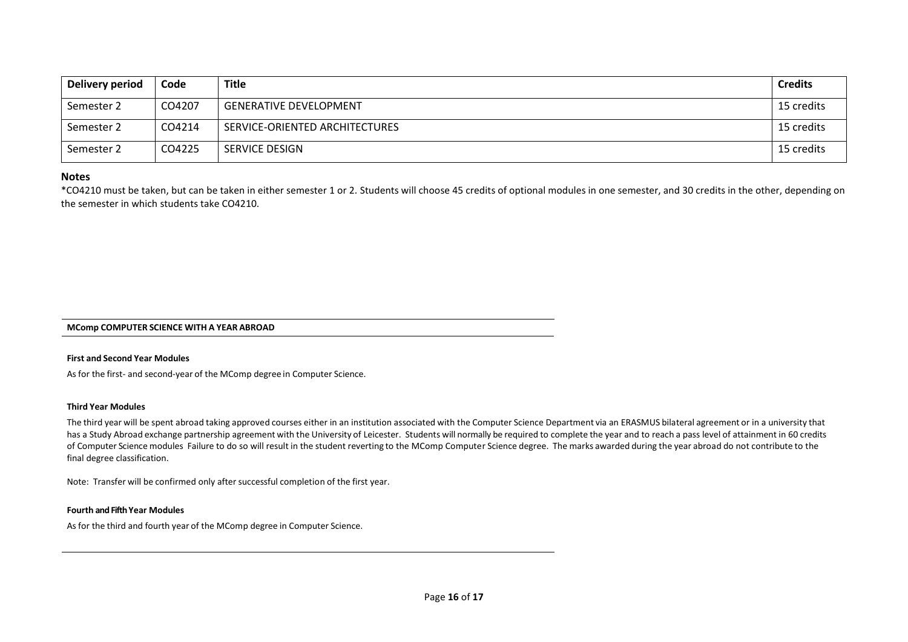| Delivery period | Code   | Title                          | <b>Credits</b> |
|-----------------|--------|--------------------------------|----------------|
| Semester 2      | CO4207 | <b>GENERATIVE DEVELOPMENT</b>  | 15 credits     |
| Semester 2      | CO4214 | SERVICE-ORIENTED ARCHITECTURES | 15 credits     |
| Semester 2      | CO4225 | SERVICE DESIGN                 | 15 credits     |

### **Notes**

\*CO4210 must be taken, but can be taken in either semester 1 or 2. Students will choose 45 credits of optional modules in one semester, and 30 credits in the other, depending on the semester in which students take CO4210.

### **MComp COMPUTER SCIENCE WITH A YEAR ABROAD**

### **First and Second Year Modules**

As for the first- and second-year of the MComp degree in Computer Science.

### **Third Year Modules**

The third year will be spent abroad taking approved courses either in an institution associated with the Computer Science Department via an ERASMUS bilateral agreement or in a university that has a Study Abroad exchange partnership agreement with the University of Leicester. Students will normally be required to complete the year and to reach a pass level of attainment in 60 credits of Computer Science modules Failure to do so will result in the student reverting to the MComp Computer Science degree. The marks awarded during the year abroad do not contribute to the final degree classification.

Note: Transfer will be confirmed only after successful completion of the first year.

### **Fourth and Fifth Year Modules**

As for the third and fourth year of the MComp degree in Computer Science.